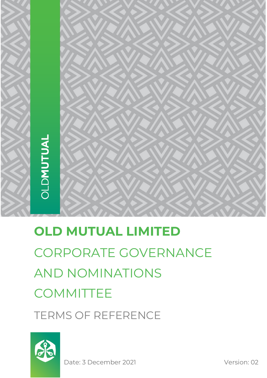

# **OLD MUTUAL LIMITED** CORPORATE GOVERNANCE AND NOMINATIONS **COMMITTEE** TERMS OF REFERENCE



Date: 3 December 2021 Version: 02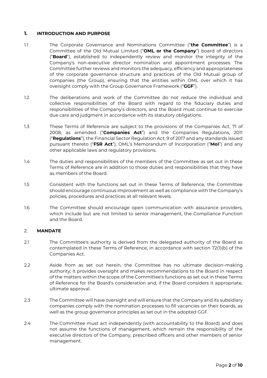## **1. INTRODUCTION AND PURPOSE**

- 1.1 The Corporate Governance and Nominations Committee ("**the Committee**") is a Committee of the Old Mutual Limited ("**OML or the Company**") board of directors ("**Board**"), established to independently review and monitor the integrity of the Company's non-executive director nomination and appointment processes. The Committee further reviews and monitors the adequacy, efficiency and appropriateness of the corporate governance structure and practices of the Old Mutual group of companies (the Group), ensuring that the entities within OML over which it has oversight comply with the Group Governance Framework ("**GGF**").
- 1.2 The deliberations and work of the Committee do not reduce the individual and collective responsibilities of the Board with regard to the fiduciary duties and responsibilities of the Company's directors, and the Board must continue to exercise due care and judgment in accordance with its statutory obligations.
- 1.3 These Terms of Reference are subject to the provisions of the Companies Act, 71 of 2008, as amended ("**Companies Act**") and the Companies Regulations, 2011 ("**Regulations**"), the Financial Sector Regulation Act, 9 of 2017 and any standards issued pursuant thereto ("**FSR Act**"), OML's Memorandum of Incorporation ("**MoI**") and any other applicable laws and regulatory provisions.
- 1.4 The duties and responsibilities of the members of the Committee as set out in these Terms of Reference are in addition to those duties and responsibilities that they have as members of the Board.
- 1.5 Consistent with the functions set out in these Terms of Reference, the Committee should encourage continuous improvement as well as compliance with the Company's policies, procedures and practices at all relevant levels.
- 1.6 The Committee should encourage open communication with assurance providers, which include but are not limited to senior management, the Compliance Function and the Board.

## 2. **MANDATE**

- 2.1 The Committee's authority is derived from the delegated authority of the Board as contemplated in these Terms of Reference, in accordance with section 72(1)(b) of the Companies Act.
- 2.2 Aside from as set out herein, the Committee has no ultimate decision-making authority; it provides oversight and makes recommendations to the Board in respect of the matters within the scope of the Committee's functions as set out in these Terms of Reference for the Board's consideration and, if the Board considers it appropriate, ultimate approval.
- 2.3 The Committee will have oversight and will ensure that the Company and its subsidiary companies comply with the nomination processes to fill vacancies on their boards, as well as the group governance principles as set out in the adopted GGF.
- 2.4 The Committee must act independently (with accountability to the Board) and does not assume the functions of management, which remain the responsibility of the executive directors of the Company, prescribed officers and other members of senior management.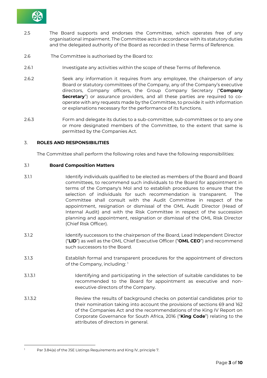

- 2.5 The Board supports and endorses the Committee, which operates free of any organisational impairment. The Committee acts in accordance with its statutory duties and the delegated authority of the Board as recorded in these Terms of Reference.
- 2.6 The Committee is authorised by the Board to:
- 2.6.1 Investigate any activities within the scope of these Terms of Reference.
- 2.6.2 Seek any information it requires from any employee, the chairperson of any Board or statutory committees of the Company, any of the Company's executive directors, Company officers, the Group Company Secretary ("**Company Secretary**") or assurance providers, and all these parties are required to cooperate with any requests made by the Committee, to provide it with information or explanations necessary for the performance of its functions.
- 2.6.3 Form and delegate its duties to a sub-committee, sub-committees or to any one or more designated members of the Committee, to the extent that same is permitted by the Companies Act.

## 3. **ROLES AND RESPONSIBILITIES**

The Committee shall perform the following roles and have the following responsibilities:

## 3.1 **Board Composition Matters**

- 3.1.1 Identify individuals qualified to be elected as members of the Board and Board committees, to recommend such individuals to the Board for appointment in terms of the Company's MoI and to establish procedures to ensure that the selection of individuals for such recommendation is transparent. The Committee shall consult with the Audit Committee in respect of the appointment, resignation or dismissal of the OML Audit Director (Head of Internal Audit) and with the Risk Committee in respect of the succession planning and appointment, resignation or dismissal of the OML Risk Director (Chief Risk Officer).
- 3.1.2 Identify successors to the chairperson of the Board, Lead Independent Director ("**LID**") as well as the OML Chief Executive Officer ("**OML CEO**") and recommend such successors to the Board.
- 3.1.3 Establish formal and transparent procedures for the appointment of directors of the Company, including: <sup>1</sup>
- 3.1.3.1 Identifying and participating in the selection of suitable candidates to be recommended to the Board for appointment as executive and nonexecutive directors of the Company.
- 3.1.3.2 Review the results of background checks on potential candidates prior to their nomination taking into account the provisions of sections 69 and 162 of the Companies Act and the recommendations of the King IV Report on Corporate Governance for South Africa, 2016 ("**King Code**") relating to the attributes of directors in general.

Par 3.84(a) of the JSE Listings Requirements and King IV, principle 7.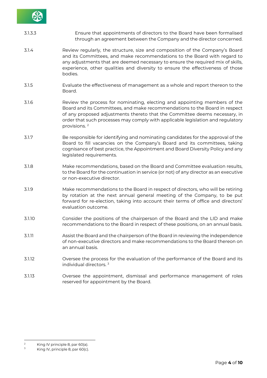

# 3.1.3.3 Ensure that appointments of directors to the Board have been formalised through an agreement between the Company and the director concerned.

- 3.1.4 Review regularly, the structure, size and composition of the Company's Board and its Committees, and make recommendations to the Board with regard to any adjustments that are deemed necessary to ensure the required mix of skills, experience, other qualities and diversity to ensure the effectiveness of those bodies.
- 3.1.5 Evaluate the effectiveness of management as a whole and report thereon to the Board.
- 3.1.6 Review the process for nominating, electing and appointing members of the Board and its Committees, and make recommendations to the Board in respect of any proposed adjustments thereto that the Committee deems necessary, in order that such processes may comply with applicable legislation and regulatory provisions. <sup>2</sup>
- 3.1.7 Be responsible for identifying and nominating candidates for the approval of the Board to fill vacancies on the Company's Board and its committees, taking cognisance of best practice, the Appointment and Board Diversity Policy and any legislated requirements.
- 3.1.8 Make recommendations, based on the Board and Committee evaluation results, to the Board for the continuation in service (or not) of any director as an executive or non-executive director.
- 3.1.9 Make recommendations to the Board in respect of directors, who will be retiring by rotation at the next annual general meeting of the Company, to be put forward for re-election, taking into account their terms of office and directors' evaluation outcome.
- 3.1.10 Consider the positions of the chairperson of the Board and the LID and make recommendations to the Board in respect of these positions, on an annual basis.
- 3.1.11 Assist the Board and the chairperson of the Board in reviewing the independence of non-executive directors and make recommendations to the Board thereon on an annual basis.
- 3.1.12 Oversee the process for the evaluation of the performance of the Board and its individual directors. <sup>3</sup>
- 3.1.13 Oversee the appointment, dismissal and performance management of roles reserved for appointment by the Board.

<sup>&</sup>lt;sup>2</sup> King IV principle 8, par  $60(a)$ .

 $3$  King IV, principle 8, par 60(c).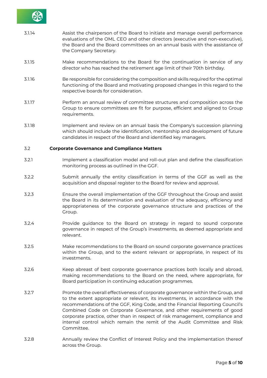

- 3.1.14 Assist the chairperson of the Board to initiate and manage overall performance evaluations of the OML CEO and other directors (executive and non-executive), the Board and the Board committees on an annual basis with the assistance of the Company Secretary.
- 3.1.15 Make recommendations to the Board for the continuation in service of any director who has reached the retirement age limit of their 70th birthday.
- 3.1.16 Be responsible for considering the composition and skills required for the optimal functioning of the Board and motivating proposed changes in this regard to the respective boards for consideration.
- 3.1.17 Perform an annual review of committee structures and composition across the Group to ensure committees are fit for purpose, efficient and aligned to Group requirements.
- 3.1.18 Implement and review on an annual basis the Company's succession planning which should include the identification, mentorship and development of future candidates in respect of the Board and identified key managers.

#### 3.2 **Corporate Governance and Compliance Matters**

- 3.2.1 Implement a classification model and roll-out plan and define the classification monitoring process as outlined in the GGF.
- 3.2.2 Submit annually the entity classification in terms of the GGF as well as the acquisition and disposal register to the Board for review and approval.
- 3.2.3 Ensure the overall implementation of the GGF throughout the Group and assist the Board in its determination and evaluation of the adequacy, efficiency and appropriateness of the corporate governance structure and practices of the Group.
- 3.2.4 Provide guidance to the Board on strategy in regard to sound corporate governance in respect of the Group's investments, as deemed appropriate and relevant.
- 3.2.5 Make recommendations to the Board on sound corporate governance practices within the Group, and to the extent relevant or appropriate, in respect of its investments.
- 3.2.6 Keep abreast of best corporate governance practices both locally and abroad, making recommendations to the Board on the need, where appropriate, for Board participation in continuing education programmes.
- 3.2.7 Promote the overall effectiveness of corporate governance within the Group, and to the extent appropriate or relevant, its investments, in accordance with the recommendations of the GGF, King Code, and the Financial Reporting Council's Combined Code on Corporate Governance, and other requirements of good corporate practice, other than in respect of risk management, compliance and internal control which remain the remit of the Audit Committee and Risk Committee.
- 3.2.8 Annually review the Conflict of Interest Policy and the implementation thereof across the Group.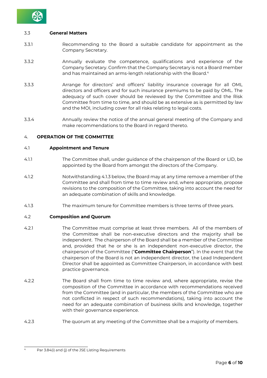

## 3.3 **General Matters**

- 3.3.1 Recommending to the Board a suitable candidate for appointment as the Company Secretary.
- 3.3.2 Annually evaluate the competence, qualifications and experience of the Company Secretary. Confirm that the Company Secretary is not a Board member and has maintained an arms-length relationship with the Board.<sup>4</sup>
- 3.3.3 Arrange for directors' and officers' liability insurance coverage for all OML directors and officers and for such insurance premiums to be paid by OML. The adequacy of such cover should be reviewed by the Committee and the Risk Committee from time to time, and should be as extensive as is permitted by law and the MOI, including cover for all risks relating to legal costs.
- 3.3.4 Annually review the notice of the annual general meeting of the Company and make recommendations to the Board in regard thereto.

## 4. **OPERATION OF THE COMMITTEE**

## 4.1 **Appointment and Tenure**

- 4.1.1 The Committee shall, under guidance of the chairperson of the Board or LID, be appointed by the Board from amongst the directors of the Company.
- 4.1.2 Notwithstanding 4.1.3 below, the Board may at any time remove a member of the Committee and shall from time to time review and, where appropriate, propose revisions to the composition of the Committee, taking into account the need for an adequate combination of skills and knowledge.
- 4.1.3 The maximum tenure for Committee members is three terms of three years.

## 4.2 **Composition and Quorum**

- 4.2.1 The Committee must comprise at least three members. All of the members of the Committee shall be non-executive directors and the majority shall be independent. The chairperson of the Board shall be a member of the Committee and, provided that he or she is an independent non-executive director, the chairperson of the Committee ("**Committee Chairperson**"). In the event that the chairperson of the Board is not an independent director, the Lead Independent Director shall be appointed as Committee Chairperson, in accordance with best practice governance.
- 4.2.2 The Board shall from time to time review and, where appropriate, revise the composition of the Committee in accordance with recommendations received from the Committee (and in particular, the members of the Committee who are not conflicted in respect of such recommendations), taking into account the need for an adequate combination of business skills and knowledge, together with their governance experience.
- 4.2.3 The quorum at any meeting of the Committee shall be a majority of members.

Par 3.84(i) and (j) of the JSE Listing Requirements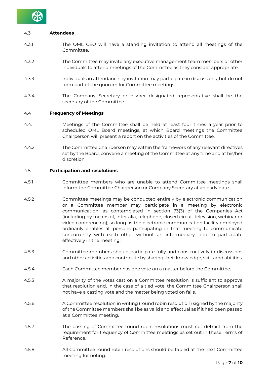

## 4.3 **Attendees**

- 4.3.1 The OML CEO will have a standing invitation to attend all meetings of the Committee.
- 4.3.2 The Committee may invite any executive management team members or other individuals to attend meetings of the Committee as they consider appropriate.
- 4.3.3 Individuals in attendance by invitation may participate in discussions, but do not form part of the quorum for Committee meetings.
- 4.3.4 The Company Secretary or his/her designated representative shall be the secretary of the Committee.

#### 4.4 **Frequency of Meetings**

- 4.4.1 Meetings of the Committee shall be held at least four times a year prior to scheduled OML Board meetings, at which Board meetings the Committee Chairperson will present a report on the activities of the Committee.
- 4.4.2 The Committee Chairperson may within the framework of any relevant directives set by the Board, convene a meeting of the Committee at any time and at his/her discretion.

#### 4.5 **Participation and resolutions**

- 4.5.1 Committee members who are unable to attend Committee meetings shall inform the Committee Chairperson or Company Secretary at an early date.
- 4.5.2 Committee meetings may be conducted entirely by electronic communication or a Committee member may participate in a meeting by electronic communication, as contemplated in section 73(3) of the Companies Act (including by means of, inter alia, telephone, closed circuit television, webinar or video conferencing), so long as the electronic communication facility employed ordinarily enables all persons participating in that meeting to communicate concurrently with each other without an intermediary, and to participate effectively in the meeting.
- 4.5.3 Committee members should participate fully and constructively in discussions and other activities and contribute by sharing their knowledge, skills and abilities.
- 4.5.4 Each Committee member has one vote on a matter before the Committee.
- 4.5.5 A majority of the votes cast on a Committee resolution is sufficient to approve that resolution and, in the case of a tied vote, the Committee Chairperson shall not have a casting vote and the matter being voted on fails.
- 4.5.6 A Committee resolution in writing (round robin resolution) signed by the majority of the Committee members shall be as valid and effectual as if it had been passed at a Committee meeting.
- 4.5.7 The passing of Committee round robin resolutions must not detract from the requirement for frequency of Committee meetings as set out in these Terms of Reference.
- 4.5.8 All Committee round robin resolutions should be tabled at the next Committee meeting for noting.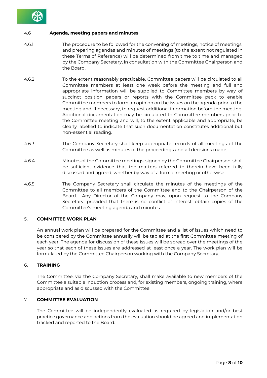

## 4.6 **Agenda, meeting papers and minutes**

- 4.6.1 The procedure to be followed for the convening of meetings, notice of meetings, and preparing agendas and minutes of meetings (to the extent not regulated in these Terms of Reference) will be determined from time to time and managed by the Company Secretary, in consultation with the Committee Chairperson and the Board.
- 4.6.2 To the extent reasonably practicable, Committee papers will be circulated to all Committee members at least one week before the meeting and full and appropriate information will be supplied to Committee members by way of succinct position papers or reports with the Committee pack to enable Committee members to form an opinion on the issues on the agenda prior to the meeting and, if necessary, to request additional information before the meeting. Additional documentation may be circulated to Committee members prior to the Committee meeting and will, to the extent applicable and appropriate, be clearly labelled to indicate that such documentation constitutes additional but non-essential reading.
- 4.6.3 The Company Secretary shall keep appropriate records of all meetings of the Committee as well as minutes of the proceedings and all decisions made.
- 4.6.4 Minutes of the Committee meetings, signed by the Committee Chairperson, shall be sufficient evidence that the matters referred to therein have been fully discussed and agreed, whether by way of a formal meeting or otherwise.
- 4.6.5 The Company Secretary shall circulate the minutes of the meetings of the Committee to all members of the Committee and to the Chairperson of the Board. Any Director of the Company may, upon request to the Company Secretary, provided that there is no conflict of interest, obtain copies of the Committee's meeting agenda and minutes.

## 5. **COMMITTEE WORK PLAN**

An annual work plan will be prepared for the Committee and a list of issues which need to be considered by the Committee annually will be tabled at the first Committee meeting of each year. The agenda for discussion of these issues will be spread over the meetings of the year so that each of these issues are addressed at least once a year. The work plan will be formulated by the Committee Chairperson working with the Company Secretary.

## 6. **TRAINING**

The Committee, via the Company Secretary, shall make available to new members of the Committee a suitable induction process and, for existing members, ongoing training, where appropriate and as discussed with the Committee.

## 7. **COMMITTEE EVALUATION**

The Committee will be independently evaluated as required by legislation and/or best practice governance and actions from the evaluation should be agreed and implementation tracked and reported to the Board.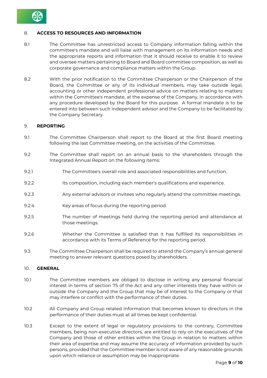

## 8. **ACCESS TO RESOURCES AND INFORMATION**

- 8.1 The Committee has unrestricted access to Company information falling within the committee's mandate and will liaise with management on its information needs and the appropriate reports and information that it should receive to enable it to review and oversee matters pertaining to Board and Board committee composition, as well as corporate governance and compliance matters within the Group.
- 8.2 With the prior notification to the Committee Chairperson or the Chairperson of the Board, the Committee or any of its individual members, may take outside legal, accounting or other independent professional advice on matters relating to matters within the Committee's mandate, at the expense of the Company, in accordance with any procedure developed by the Board for this purpose. A formal mandate is to be entered into between such independent advisor and the Company to be facilitated by the Company Secretary.

## 9. **REPORTING**

- 9.1 The Committee Chairperson shall report to the Board at the first Board meeting following the last Committee meeting, on the activities of the Committee.
- 9.2 The Committee shall report on an annual basis to the shareholders through the Integrated Annual Report on the following items:
- 9.2.1 The Committee's overall role and associated responsibilities and function.
- 9.2.2 Its composition, including each member's qualifications and experience.
- 9.2.3 Any external advisors or invitees who regularly attend the committee meetings.
- 9.2.4 Key areas of focus during the reporting period.
- 9.2.5 The number of meetings held during the reporting period and attendance at those meetings.
- 9.2.6 Whether the Committee is satisfied that it has fulfilled its responsibilities in accordance with its Terms of Reference for the reporting period.
- 9.3 The Committee Chairperson shall be required to attend the Company's annual general meeting to answer relevant questions posed by shareholders.

#### 10. **GENERAL**

- 10.1 The Committee members are obliged to disclose in writing any personal financial interest in terms of section 75 of the Act and any other interests they have within or outside the Company and the Group that may be of interest to the Company or that may interfere or conflict with the performance of their duties.
- 10.2 All Company and Group related information that becomes known to directors in the performance of their duties must at all times be kept confidential.
- 10.3 Except to the extent of legal or regulatory provisions to the contrary, Committee members, being non-executive directors, are entitled to rely on the executives of the Company and those of other entities within the Group in relation to matters within their area of expertise and may assume the accuracy of information provided by such persons, provided that the Committee member is not aware of any reasonable grounds upon which reliance or assumption may be inappropriate.